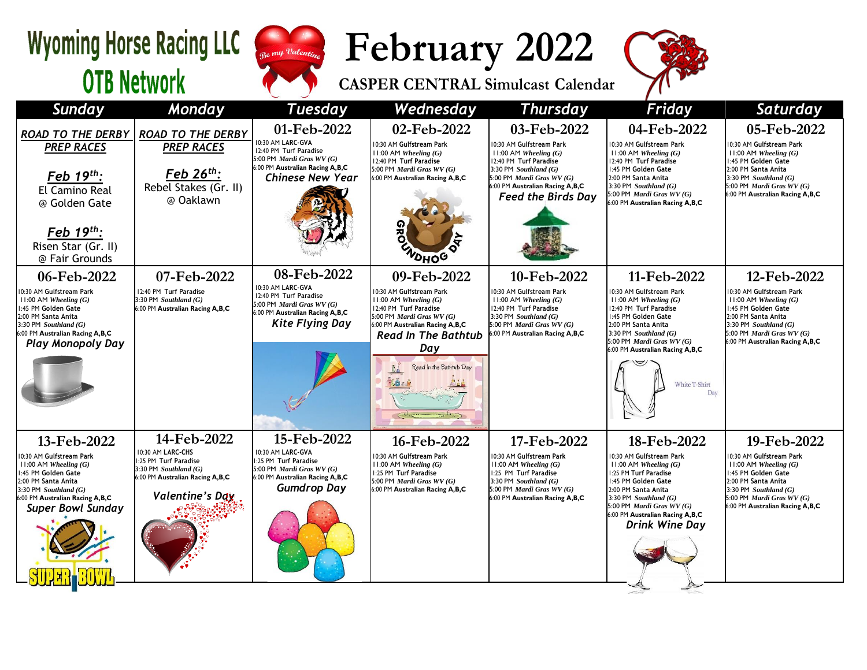## Wyoming Horse Racing LLC Sugar Valentine **OTB Network**



**February 2022 CASPER CENTRAL Simulcast Calendar**



| <b>Sunday</b>                                                                                                                                                                                                 | <b>Monday</b>                                                                                                                              | <b>Tuesday</b>                                                                                                                                        | Wednesday                                                                                                                                                                                                                      | <b>Thursday</b>                                                                                                                                                                                                                 | Friday                                                                                                                                                                                                                                                           | Saturday                                                                                                                                                                                                               |
|---------------------------------------------------------------------------------------------------------------------------------------------------------------------------------------------------------------|--------------------------------------------------------------------------------------------------------------------------------------------|-------------------------------------------------------------------------------------------------------------------------------------------------------|--------------------------------------------------------------------------------------------------------------------------------------------------------------------------------------------------------------------------------|---------------------------------------------------------------------------------------------------------------------------------------------------------------------------------------------------------------------------------|------------------------------------------------------------------------------------------------------------------------------------------------------------------------------------------------------------------------------------------------------------------|------------------------------------------------------------------------------------------------------------------------------------------------------------------------------------------------------------------------|
| <b>ROAD TO THE DERBY</b><br><b>PREP RACES</b><br>Feb 19th:<br>El Camino Real<br>@ Golden Gate<br>Feb $19^{th}$ :<br>Risen Star (Gr. II)<br>@ Fair Grounds                                                     | <b>ROAD TO THE DERBY</b><br><b>PREP RACES</b><br>Feb $26^{th}$ :<br>Rebel Stakes (Gr. II)<br>@ Oaklawn                                     | 01-Feb-2022<br>10:30 AM LARC-GVA<br>12:40 PM Turf Paradise<br>5:00 PM Mardi Gras WV (G)<br>6:00 PM Australian Racing A,B,C<br><b>Chinese New Year</b> | 02-Feb-2022<br>10:30 AM Gulfstream Park<br>$11:00$ AM Wheeling $(G)$<br>12:40 PM Turf Paradise<br>5:00 PM Mardi Gras WV (G)<br>6:00 PM Australian Racing A,B,C<br>æ<br>NOHOG                                                   | 03-Feb-2022<br>10:30 AM Gulfstream Park<br>$11:00$ AM Wheeling $(G)$<br>12:40 PM Turf Paradise<br>3:30 PM Southland $(G)$<br>5:00 PM <i>Mardi Gras WV</i> $(G)$<br>6:00 PM Australian Racing A,B,C<br><b>Feed the Birds Day</b> | 04-Feb-2022<br>10:30 AM Gulfstream Park<br>$11:00$ AM Wheeling $(G)$<br>12:40 PM Turf Paradise<br>1:45 PM Golden Gate<br>2:00 PM Santa Anita<br>3:30 PM Southland $(G)$<br>5:00 PM Mardi Gras WV (G)<br>6:00 PM Australian Racing A,B,C                          | 05-Feb-2022<br>10:30 AM Gulfstream Park<br>$11:00$ AM Wheeling $(G)$<br>1:45 PM Golden Gate<br>2:00 PM Santa Anita<br>$3:30$ PM Southland $(G)$<br>5:00 PM <i>Mardi Gras WV (G)</i><br>6:00 PM Australian Racing A,B,C |
| 06-Feb-2022<br>0:30 AM Gulfstream Park<br>$11:00$ AM Wheeling $(G)$<br>1:45 PM Golden Gate<br>2:00 PM Santa Anita<br>$3:30$ PM Southland $(G)$<br>6:00 PM Australian Racing A,B,C<br><b>Play Monopoly Day</b> | 07-Feb-2022<br>12:40 PM Turf Paradise<br>3:30 PM Southland $(G)$<br>6:00 PM Australian Racing A,B,C                                        | 08-Feb-2022<br>10:30 AM LARC-GVA<br>12:40 PM Turf Paradise<br>5:00 PM Mardi Gras WV (G)<br>6:00 PM Australian Racing A,B,C<br><b>Kite Flying Day</b>  | 09-Feb-2022<br>10:30 AM Gulfstream Park<br>$11:00$ AM Wheeling $(G)$<br>12:40 PM Turf Paradise<br>5:00 PM Mardi Gras WV (G)<br>6:00 PM Australian Racing A,B,C<br><b>Read In The Bathtub</b><br>Day<br>Read in the Bathtub Day | 10-Feb-2022<br>10:30 AM Gulfstream Park<br>$11:00$ AM Wheeling $(G)$<br>12:40 PM Turf Paradise<br>3:30 PM Southland $(G)$<br>5:00 PM Mardi Gras WV (G)<br>6:00 PM Australian Racing A, B, C                                     | 11-Feb-2022<br>10:30 AM Gulfstream Park<br>$11:00$ AM Wheeling $(G)$<br>12:40 PM Turf Paradise<br>:45 PM Golden Gate<br>2:00 PM Santa Anita<br>3:30 PM Southland $(G)$<br>5:00 PM Mardi Gras WV (G)<br>6:00 PM Australian Racing A, B, C<br>White T-Shirt<br>Day | 12-Feb-2022<br>10:30 AM Gulfstream Park<br>$11:00$ AM Wheeling $(G)$<br>1:45 PM Golden Gate<br>2:00 PM Santa Anita<br>3:30 PM Southland $(G)$<br>5:00 PM Mardi Gras WV (G)<br>6:00 PM Australian Racing A,B,C          |
| 13-Feb-2022<br>0:30 AM Gulfstream Park<br>$11:00$ AM Wheeling $(G)$<br>1:45 PM Golden Gate<br>2:00 PM Santa Anita<br>3:30 PM Southland $(G)$<br>6:00 PM Australian Racing A,B,C<br><b>Super Bowl Sunday</b>   | 14-Feb-2022<br>10:30 AM LARC-CHS<br>1:25 PM Turf Paradise<br>3:30 PM Southland $(G)$<br>6:00 PM Australian Racing A,B,C<br>Valentine's Day | 15-Feb-2022<br>10:30 AM LARC-GVA<br>1:25 PM Turf Paradise<br>5:00 PM Mardi Gras WV (G)<br>6:00 PM Australian Racing A,B,C<br><b>Gumdrop Day</b>       | 16-Feb-2022<br>10:30 AM Gulfstream Park<br>$11:00$ AM Wheeling $(G)$<br>1:25 PM Turf Paradise<br>5:00 PM Mardi Gras $WV(G)$<br>6:00 PM Australian Racing A,B,C                                                                 | 17-Feb-2022<br>10:30 AM Gulfstream Park<br>$11:00$ AM Wheeling $(G)$<br>1:25 PM Turf Paradise<br>3:30 PM Southland $(G)$<br>5:00 PM Mardi Gras WV (G)<br>6:00 PM Australian Racing A,B,C                                        | 18-Feb-2022<br>10:30 AM Gulfstream Park<br>$11:00$ AM Wheeling $(G)$<br>1:25 PM Turf Paradise<br>:45 PM Golden Gate<br>2:00 PM Santa Anita<br>3:30 PM Southland $(G)$<br>5:00 PM Mardi Gras WV (G)<br>6:00 PM Australian Racing A,B,C<br><b>Drink Wine Day</b>   | 19-Feb-2022<br>10:30 AM Gulfstream Park<br>$11:00$ AM Wheeling $(G)$<br>1:45 PM Golden Gate<br>2:00 PM Santa Anita<br>3:30 PM Southland $(G)$<br>5:00 PM Mardi Gras WV (G)<br>6:00 PM Australian Racing A,B,C          |